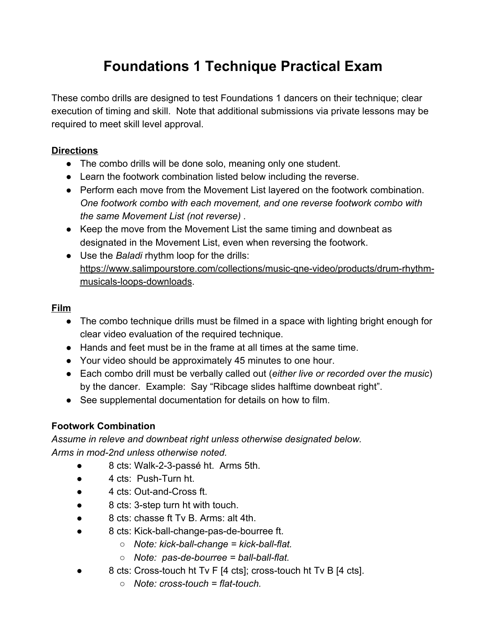# **Foundations 1 Technique Practical Exam**

These combo drills are designed to test Foundations 1 dancers on their technique; clear execution of timing and skill. Note that additional submissions via private lessons may be required to meet skill level approval.

#### **Directions**

- The combo drills will be done solo, meaning only one student.
- Learn the footwork combination listed below including the reverse.
- Perform each move from the Movement List layered on the footwork combination. *One footwork combo with each movement, and one reverse footwork combo with the same Movement List (not reverse) .*
- Keep the move from the Movement List the same timing and downbeat as designated in the Movement List, even when reversing the footwork.
- Use the *Baladi* rhythm loop for the drills: [https://www.salimpourstore.com/collections/music-qne-video/products/drum-rhythm](https://www.salimpourstore.com/collections/music-qne-video/products/drum-rhythm-musicals-loops-downloads)[musicals-loops-downloads.](https://www.salimpourstore.com/collections/music-qne-video/products/drum-rhythm-musicals-loops-downloads)

## **Film**

- The combo technique drills must be filmed in a space with lighting bright enough for clear video evaluation of the required technique.
- Hands and feet must be in the frame at all times at the same time.
- Your video should be approximately 45 minutes to one hour.
- Each combo drill must be verbally called out (*either live or recorded over the music*) by the dancer. Example: Say "Ribcage slides halftime downbeat right".
- See supplemental documentation for details on how to film.

## **Footwork Combination**

*Assume in releve and downbeat right unless otherwise designated below. Arms in mod-2nd unless otherwise noted.*

- 8 cts: Walk-2-3-passé ht. Arms 5th.
- 4 cts: Push-Turn ht.
- 4 cts: Out-and-Cross ft.
- 8 cts: 3-step turn ht with touch.
- 8 cts: chasse ft Tv B. Arms: alt 4th.
- 8 cts: Kick-ball-change-pas-de-bourree ft.
	- *Note: kick-ball-change = kick-ball-flat.*
	- *Note: pas-de-bourree = ball-ball-flat.*
- 8 cts: Cross-touch ht Tv F [4 cts]; cross-touch ht Tv B [4 cts].
	- *Note: cross-touch = flat-touch.*